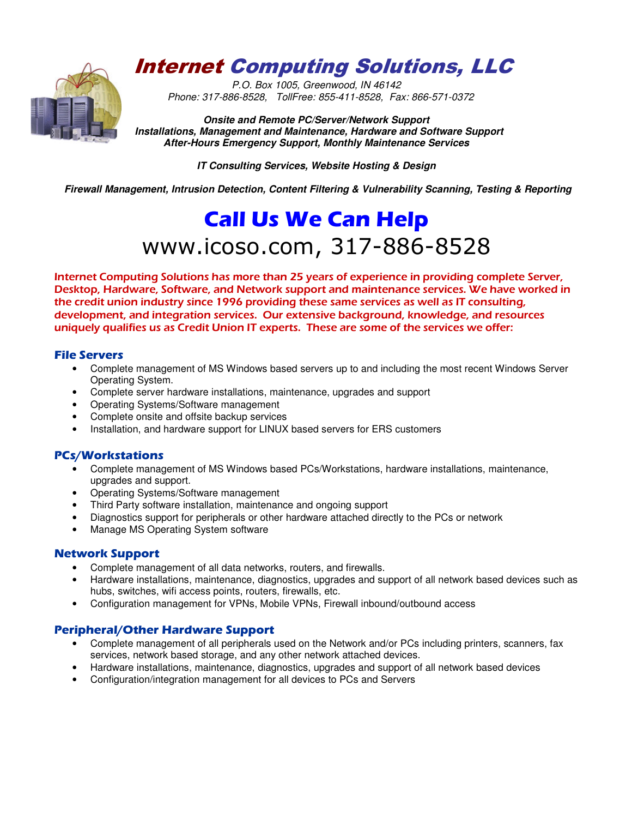## Internet Computing Solutions, LLC

*P.O. Box 1005, Greenwood, IN 46142 Phone: 317-886-8528, TollFree: 855-411-8528, Fax: 866-571-0372*

**Onsite and Remote PC/Server/Network Support Installations, Management and Maintenance, Hardware and Software Support After-Hours Emergency Support, Monthly Maintenance Services** 

**IT Consulting Services, Website Hosting & Design** 

 **Firewall Management, Intrusion Detection, Content Filtering & Vulnerability Scanning, Testing & Reporting** 

# **Call Us We Can Help**  www.icoso.com, 317-886-8528

*Internet Computing Solutions has more than 25 years of experience in providing complete Server, Desktop, Hardware, Software, and Network support and maintenance services. We have worked in the credit union industry since 1996 providing these same services as well as IT consulting, development, and integration services. Our extensive background, knowledge, and resources uniquely qualifies us as Credit Union IT experts. These are some of the services we offer:* 

### **File Servers**

- Complete management of MS Windows based servers up to and including the most recent Windows Server Operating System.
- Complete server hardware installations, maintenance, upgrades and support
- Operating Systems/Software management
- Complete onsite and offsite backup services
- Installation, and hardware support for LINUX based servers for ERS customers

#### **PCs/Workstations**

- Complete management of MS Windows based PCs/Workstations, hardware installations, maintenance, upgrades and support.
- Operating Systems/Software management
- Third Party software installation, maintenance and ongoing support
- Diagnostics support for peripherals or other hardware attached directly to the PCs or network
- Manage MS Operating System software

#### **Network Support**

- Complete management of all data networks, routers, and firewalls.
- Hardware installations, maintenance, diagnostics, upgrades and support of all network based devices such as hubs, switches, wifi access points, routers, firewalls, etc.
- Configuration management for VPNs, Mobile VPNs, Firewall inbound/outbound access

#### **Peripheral/Other Hardware Support**

- Complete management of all peripherals used on the Network and/or PCs including printers, scanners, fax services, network based storage, and any other network attached devices.
- Hardware installations, maintenance, diagnostics, upgrades and support of all network based devices
- Configuration/integration management for all devices to PCs and Servers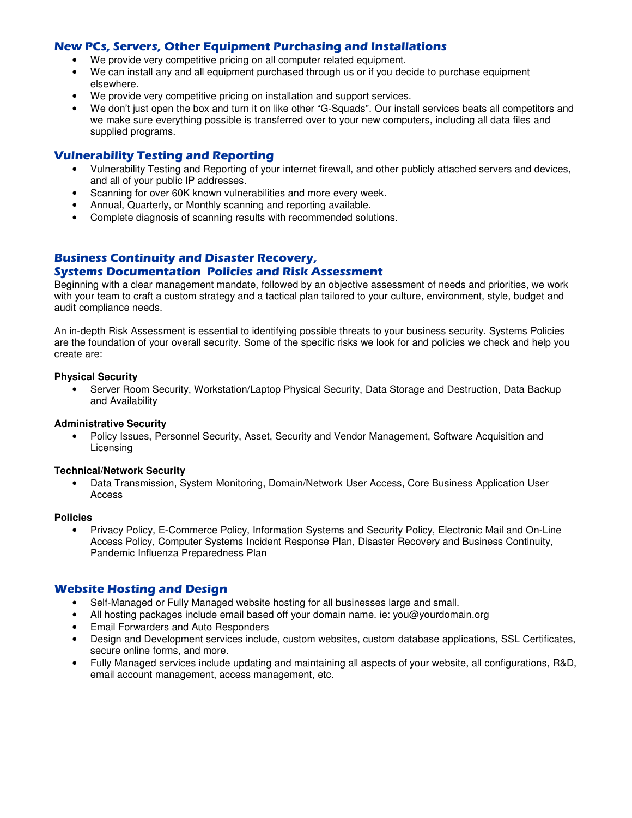#### **New PCs, Servers, Other Equipment Purchasing and Installations**

- We provide very competitive pricing on all computer related equipment.
- We can install any and all equipment purchased through us or if you decide to purchase equipment elsewhere.
- We provide very competitive pricing on installation and support services.
- We don't just open the box and turn it on like other "G-Squads". Our install services beats all competitors and we make sure everything possible is transferred over to your new computers, including all data files and supplied programs.

#### **Vulnerability Testing and Reporting**

- Vulnerability Testing and Reporting of your internet firewall, and other publicly attached servers and devices, and all of your public IP addresses.
- Scanning for over 60K known vulnerabilities and more every week.
- Annual, Quarterly, or Monthly scanning and reporting available.
- Complete diagnosis of scanning results with recommended solutions.

### **Business Continuity and Disaster Recovery,**

#### **Systems Documentation Policies and Risk Assessment**

Beginning with a clear management mandate, followed by an objective assessment of needs and priorities, we work with your team to craft a custom strategy and a tactical plan tailored to your culture, environment, style, budget and audit compliance needs.

An in-depth Risk Assessment is essential to identifying possible threats to your business security. Systems Policies are the foundation of your overall security. Some of the specific risks we look for and policies we check and help you create are:

#### **Physical Security**

• Server Room Security, Workstation/Laptop Physical Security, Data Storage and Destruction, Data Backup and Availability

#### **Administrative Security**

• Policy Issues, Personnel Security, Asset, Security and Vendor Management, Software Acquisition and Licensing

#### **Technical/Network Security**

• Data Transmission, System Monitoring, Domain/Network User Access, Core Business Application User Access

#### **Policies**

• Privacy Policy, E-Commerce Policy, Information Systems and Security Policy, Electronic Mail and On-Line Access Policy, Computer Systems Incident Response Plan, Disaster Recovery and Business Continuity, Pandemic Influenza Preparedness Plan

#### **Website Hosting and Design**

- Self-Managed or Fully Managed website hosting for all businesses large and small.
- All hosting packages include email based off your domain name. ie: you@yourdomain.org
- Email Forwarders and Auto Responders
- Design and Development services include, custom websites, custom database applications, SSL Certificates, secure online forms, and more.
- Fully Managed services include updating and maintaining all aspects of your website, all configurations, R&D, email account management, access management, etc.